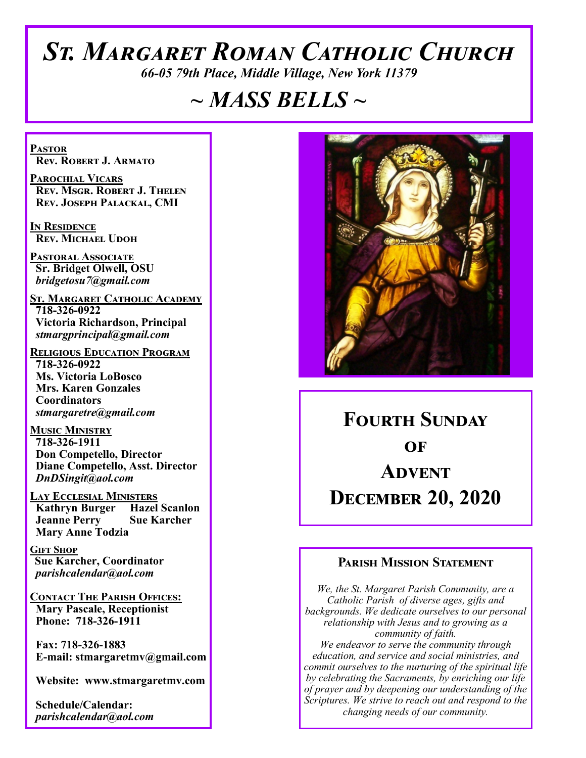# *St. Margaret Roman Catholic Church*

*66-05 79th Place, Middle Village, New York 11379*

# *~ MASS BELLS ~*

**Pastor Rev. Robert J. Armato**

**Parochial Vicars Rev. Msgr. Robert J. Thelen Rev. Joseph Palackal, CMI**

**In Residence Rev. Michael Udoh**

**Pastoral Associate Sr. Bridget Olwell, OSU**  *bridgetosu7@gmail.com*

**St. Margaret Catholic Academy 718-326-0922 Victoria Richardson, Principal**  *stmargprincipal@gmail.com*

**Religious Education Program 718-326-0922 Ms. Victoria LoBosco Mrs. Karen Gonzales Coordinators** *stmargaretre@gmail.com*

**Music Ministry 718-326-1911 Don Competello, Director Diane Competello, Asst. Director** *DnDSingit@aol.com*

**LAY ECCLESIAL MINISTERS<br>
Kathryn Burger Hazel Scanlon Kathryn Burger Jeanne Perry Sue Karcher Mary Anne Todzia**

**Gift Shop Sue Karcher, Coordinator** *parishcalendar@aol.com*

**Contact The Parish Offices: Mary Pascale, Receptionist Phone: 718-326-1911** 

 **Fax: 718-326-1883 E-mail: stmargaretmv@gmail.com**

 **Website: www.stmargaretmv.com**

 **Schedule/Calendar:** *parishcalendar@aol.com* 



**Fourth Sunday**   $\Omega$ **F Advent December 20, 2020** 

# **Parish Mission Statement**

*We, the St. Margaret Parish Community, are a Catholic Parish of diverse ages, gifts and backgrounds. We dedicate ourselves to our personal relationship with Jesus and to growing as a community of faith. We endeavor to serve the community through education, and service and social ministries, and commit ourselves to the nurturing of the spiritual life by celebrating the Sacraments, by enriching our life of prayer and by deepening our understanding of the Scriptures. We strive to reach out and respond to the changing needs of our community.*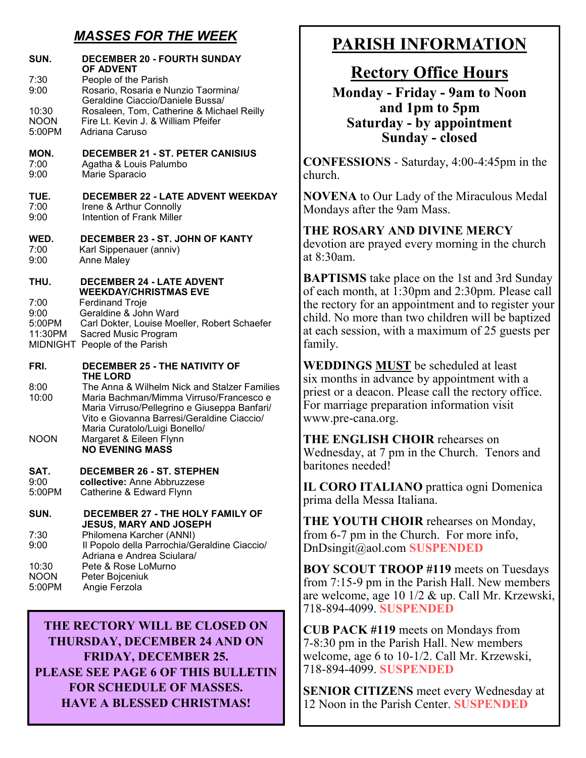# *MASSES FOR THE WEEK*

| SUN.                              | <b>DECEMBER 20 - FOURTH SUNDAY</b><br><b>OF ADVENT</b>                                                                                                                                |
|-----------------------------------|---------------------------------------------------------------------------------------------------------------------------------------------------------------------------------------|
| 7:30<br>9:00                      | People of the Parish<br>Rosario, Rosaria e Nunzio Taormina/                                                                                                                           |
| 10:30<br><b>NOON</b><br>5:00PM    | Geraldine Ciaccio/Daniele Bussa/<br>Rosaleen, Tom, Catherine & Michael Reilly<br>Fire Lt. Kevin J. & William Pfeifer<br>Adriana Caruso                                                |
| MON.<br>7:00<br>9:00              | <b>DECEMBER 21 - ST. PETER CANISIUS</b><br>Agatha & Louis Palumbo<br>Marie Sparacio                                                                                                   |
| TUE.<br>7:00<br>9:00              | <b>DECEMBER 22 - LATE ADVENT WEEKDAY</b><br>Irene & Arthur Connolly<br>Intention of Frank Miller                                                                                      |
| WED.<br>7:00<br>9:00              | DECEMBER 23 - ST. JOHN OF KANTY<br>Karl Sippenauer (anniv)<br><b>Anne Maley</b>                                                                                                       |
| THU.                              | <b>DECEMBER 24 - LATE ADVENT</b><br><b>WEEKDAY/CHRISTMAS EVE</b>                                                                                                                      |
| 7:00<br>9:00<br>5:00PM<br>11:30PM | <b>Ferdinand Troje</b><br>Geraldine & John Ward<br>Carl Dokter, Louise Moeller, Robert Schaefer<br>Sacred Music Program<br>MIDNIGHT People of the Parish                              |
| FRI.                              | <b>DECEMBER 25 - THE NATIVITY OF</b><br><b>THE LORD</b>                                                                                                                               |
| 8:00<br>10:00                     | The Anna & Wilhelm Nick and Stalzer Families<br>Maria Bachman/Mimma Virruso/Francesco e<br>Maria Virruso/Pellegrino e Giuseppa Banfari/<br>Vito e Giovanna Barresi/Geraldine Ciaccio/ |
| <b>NOON</b>                       | Maria Curatolo/Luigi Bonello/<br>Margaret & Eileen Flynn<br><b>NO EVENING MASS</b>                                                                                                    |
| SAT.<br>9:00<br>5:00PM            | <b>DECEMBER 26 - ST. STEPHEN</b><br>collective: Anne Abbruzzese<br>Catherine & Edward Flynn                                                                                           |
| SUN.                              | <b>DECEMBER 27 - THE HOLY FAMILY OF</b><br><b>JESUS, MARY AND JOSEPH</b>                                                                                                              |
| 7:30<br>9:00                      | Philomena Karcher (ANNI)<br>Il Popolo della Parrochia/Geraldine Ciaccio/<br>Adriana e Andrea Sciulara/                                                                                |
| 10:30<br><b>NOON</b><br>5:00PM    | Pete & Rose LoMurno<br>Peter Bojceniuk<br>Angie Ferzola                                                                                                                               |

**THE RECTORY WILL BE CLOSED ON THURSDAY, DECEMBER 24 AND ON FRIDAY, DECEMBER 25. PLEASE SEE PAGE 6 OF THIS BULLETIN FOR SCHEDULE OF MASSES. HAVE A BLESSED CHRISTMAS!**

# **PARISH INFORMATION**

# **Rectory Office Hours**

**Monday - Friday - 9am to Noon and 1pm to 5pm Saturday - by appointment Sunday - closed**

**CONFESSIONS** - Saturday, 4:00-4:45pm in the church.

**NOVENA** to Our Lady of the Miraculous Medal Mondays after the 9am Mass.

**THE ROSARY AND DIVINE MERCY** devotion are prayed every morning in the church at 8:30am.

**BAPTISMS** take place on the 1st and 3rd Sunday of each month, at 1:30pm and 2:30pm. Please call the rectory for an appointment and to register your child. No more than two children will be baptized at each session, with a maximum of 25 guests per family.

**WEDDINGS MUST** be scheduled at least six months in advance by appointment with a priest or a deacon. Please call the rectory office. For marriage preparation information visit www.pre-cana.org.

**THE ENGLISH CHOIR** rehearses on Wednesday, at 7 pm in the Church. Tenors and baritones needed!

**IL CORO ITALIANO** prattica ogni Domenica prima della Messa Italiana.

**THE YOUTH CHOIR** rehearses on Monday, from 6-7 pm in the Church. For more info, DnDsingit@aol.com **SUSPENDED**

**BOY SCOUT TROOP #119** meets on Tuesdays from 7:15-9 pm in the Parish Hall. New members are welcome, age 10 1/2 & up. Call Mr. Krzewski, 718-894-4099. **SUSPENDED**

**CUB PACK #119** meets on Mondays from 7-8:30 pm in the Parish Hall. New members welcome, age 6 to 10-1/2. Call Mr. Krzewski, 718-894-4099. **SUSPENDED**

**SENIOR CITIZENS** meet every Wednesday at 12 Noon in the Parish Center. **SUSPENDED**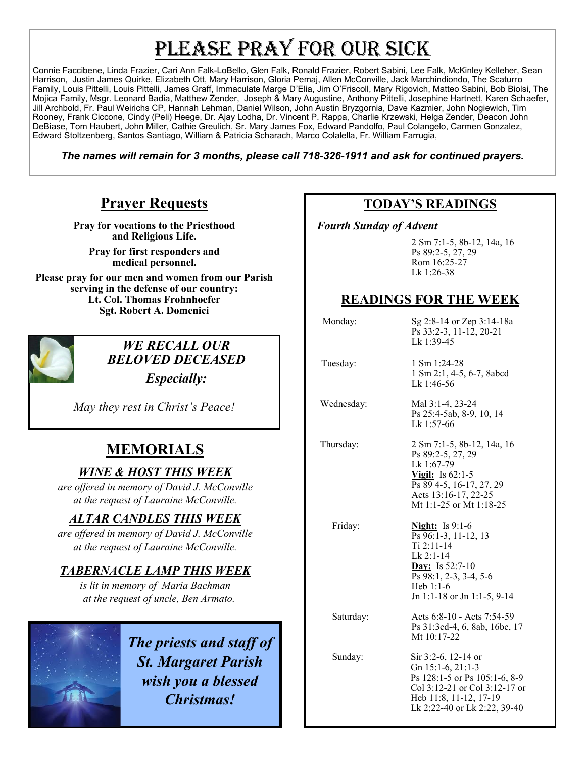# PLEASE PRAY FOR OUR SICK

Connie Faccibene, Linda Frazier, Cari Ann Falk-LoBello, Glen Falk, Ronald Frazier, Robert Sabini, Lee Falk, McKinley Kelleher, Sean Harrison, Justin James Quirke, Elizabeth Ott, Mary Harrison, Gloria Pemaj, Allen McConville, Jack Marchindiondo, The Scaturro Family, Louis Pittelli, Louis Pittelli, James Graff, Immaculate Marge D'Elia, Jim O'Friscoll, Mary Rigovich, Matteo Sabini, Bob Biolsi, The Mojica Family, Msgr. Leonard Badia, Matthew Zender, Joseph & Mary Augustine, Anthony Pittelli, Josephine Hartnett, Karen Schaefer, Jill Archbold, Fr. Paul Weirichs CP, Hannah Lehman, Daniel Wilson, John Austin Bryzgornia, Dave Kazmier, John Nogiewich, Tim Rooney, Frank Ciccone, Cindy (Peli) Heege, Dr. Ajay Lodha, Dr. Vincent P. Rappa, Charlie Krzewski, Helga Zender, Deacon John DeBiase, Tom Haubert, John Miller, Cathie Greulich, Sr. Mary James Fox, Edward Pandolfo, Paul Colangelo, Carmen Gonzalez, Edward Stoltzenberg, Santos Santiago, William & Patricia Scharach, Marco Colalella, Fr. William Farrugia,

*The names will remain for 3 months, please call 718-326-1911 and ask for continued prayers.*

# **Prayer Requests**

**Pray for vocations to the Priesthood and Religious Life.** 

**Pray for first responders and medical personnel.**

**Please pray for our men and women from our Parish serving in the defense of our country: Lt. Col. Thomas Frohnhoefer Sgt. Robert A. Domenici** 



# *WE RECALL OUR BELOVED DECEASED*

*Especially:*

*May they rest in Christ's Peace!*

# **MEMORIALS**

# *WINE & HOST THIS WEEK*

*are offered in memory of David J. McConville at the request of Lauraine McConville.*

## *ALTAR CANDLES THIS WEEK*

*are offered in memory of David J. McConville at the request of Lauraine McConville.* 

# *TABERNACLE LAMP THIS WEEK*

*is lit in memory of Maria Bachman at the request of uncle, Ben Armato.* 



*The priests and staff of St. Margaret Parish wish you a blessed Christmas!*

# **TODAY'S READINGS**

 *Fourth Sunday of Advent* 

 2 Sm 7:1-5, 8b-12, 14a, 16 Ps 89:2-5, 27, 29 Rom 16:25-27 Lk 1:26-38

# **READINGS FOR THE WEEK**

Lk 1:46-56

Lk 1:57-66

 Monday: Sg 2:8-14 or Zep 3:14-18a Ps 33:2-3, 11-12, 20-21 Lk 1:39-45

1 Sm 2:1, 4-5, 6-7, 8abcd

Ps 25:4-5ab, 8-9, 10, 14

Tuesday: 1 Sm 1:24-28

Wednesday: Mal 3:1-4, 23-24

 Thursday: 2 Sm 7:1-5, 8b-12, 14a, 16 Ps 89:2-5, 27, 29 Lk 1:67-79 **Vigil:** Is 62:1-5 Ps 89 4-5, 16-17, 27, 29 Acts 13:16-17, 22-25 Mt 1:1-25 or Mt 1:18-25

 Friday: **Night:** Is 9:1-6 Ps 96:1-3, 11-12, 13 Ti 2:11-14 Lk 2:1-14 **Day:** Is 52:7-10 Ps 98:1, 2-3, 3-4, 5-6 Heb 1:1-6 Jn 1:1-18 or Jn 1:1-5, 9-14

 Saturday: Acts 6:8-10 - Acts 7:54-59 Ps 31:3cd-4, 6, 8ab, 16bc, 17 Mt 10:17-22

 Sunday: Sir 3:2-6, 12-14 or Gn 15:1-6, 21:1-3 Ps 128:1-5 or Ps 105:1-6, 8-9 Col 3:12-21 or Col 3:12-17 or Heb 11:8, 11-12, 17-19 Lk 2:22-40 or Lk 2:22, 39-40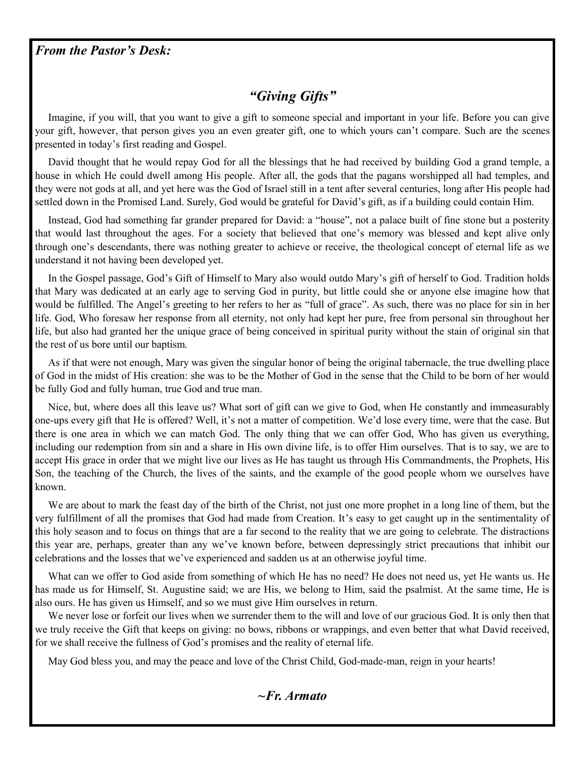## *From the Pastor's Desk:*

# *"Giving Gifts"*

 Imagine, if you will, that you want to give a gift to someone special and important in your life. Before you can give your gift, however, that person gives you an even greater gift, one to which yours can't compare. Such are the scenes presented in today's first reading and Gospel.

 David thought that he would repay God for all the blessings that he had received by building God a grand temple, a house in which He could dwell among His people. After all, the gods that the pagans worshipped all had temples, and they were not gods at all, and yet here was the God of Israel still in a tent after several centuries, long after His people had settled down in the Promised Land. Surely, God would be grateful for David's gift, as if a building could contain Him.

 Instead, God had something far grander prepared for David: a "house", not a palace built of fine stone but a posterity that would last throughout the ages. For a society that believed that one's memory was blessed and kept alive only through one's descendants, there was nothing greater to achieve or receive, the theological concept of eternal life as we understand it not having been developed yet.

 In the Gospel passage, God's Gift of Himself to Mary also would outdo Mary's gift of herself to God. Tradition holds that Mary was dedicated at an early age to serving God in purity, but little could she or anyone else imagine how that would be fulfilled. The Angel's greeting to her refers to her as "full of grace". As such, there was no place for sin in her life. God, Who foresaw her response from all eternity, not only had kept her pure, free from personal sin throughout her life, but also had granted her the unique grace of being conceived in spiritual purity without the stain of original sin that the rest of us bore until our baptism.

 As if that were not enough, Mary was given the singular honor of being the original tabernacle, the true dwelling place of God in the midst of His creation: she was to be the Mother of God in the sense that the Child to be born of her would be fully God and fully human, true God and true man.

 Nice, but, where does all this leave us? What sort of gift can we give to God, when He constantly and immeasurably one-ups every gift that He is offered? Well, it's not a matter of competition. We'd lose every time, were that the case. But there is one area in which we can match God. The only thing that we can offer God, Who has given us everything, including our redemption from sin and a share in His own divine life, is to offer Him ourselves. That is to say, we are to accept His grace in order that we might live our lives as He has taught us through His Commandments, the Prophets, His Son, the teaching of the Church, the lives of the saints, and the example of the good people whom we ourselves have known.

 We are about to mark the feast day of the birth of the Christ, not just one more prophet in a long line of them, but the very fulfillment of all the promises that God had made from Creation. It's easy to get caught up in the sentimentality of this holy season and to focus on things that are a far second to the reality that we are going to celebrate. The distractions this year are, perhaps, greater than any we've known before, between depressingly strict precautions that inhibit our celebrations and the losses that we've experienced and sadden us at an otherwise joyful time.

 What can we offer to God aside from something of which He has no need? He does not need us, yet He wants us. He has made us for Himself, St. Augustine said; we are His, we belong to Him, said the psalmist. At the same time, He is also ours. He has given us Himself, and so we must give Him ourselves in return.

We never lose or forfeit our lives when we surrender them to the will and love of our gracious God. It is only then that we truly receive the Gift that keeps on giving: no bows, ribbons or wrappings, and even better that what David received, for we shall receive the fullness of God's promises and the reality of eternal life.

May God bless you, and may the peace and love of the Christ Child, God-made-man, reign in your hearts!

*~Fr. Armato*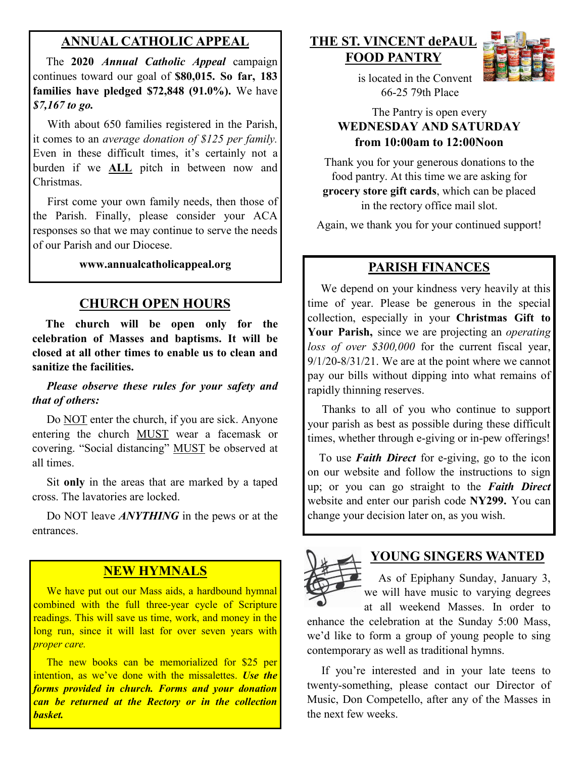# **ANNUAL CATHOLIC APPEAL**

 The **2020** *Annual Catholic Appeal* campaign continues toward our goal of **\$80,015. So far, 183 families have pledged \$72,848 (91.0%).** We have *\$7,167 to go.*

With about 650 families registered in the Parish, it comes to an *average donation of \$125 per family.*  Even in these difficult times, it's certainly not a burden if we **ALL** pitch in between now and Christmas.

 First come your own family needs, then those of the Parish. Finally, please consider your ACA responses so that we may continue to serve the needs of our Parish and our Diocese. Ì

#### **www.annualcatholicappeal.org**

### **CHURCH OPEN HOURS**

 **The church will be open only for the celebration of Masses and baptisms. It will be closed at all other times to enable us to clean and sanitize the facilities.**

#### *Please observe these rules for your safety and that of others:*

Do NOT enter the church, if you are sick. Anyone entering the church MUST wear a facemask or covering. "Social distancing" MUST be observed at all times.

 Sit **only** in the areas that are marked by a taped cross. The lavatories are locked.

 Do NOT leave *ANYTHING* in the pews or at the entrances.

## **NEW HYMNALS**

We have put out our Mass aids, a hardbound hymnal combined with the full three-year cycle of Scripture readings. This will save us time, work, and money in the long run, since it will last for over seven years with *proper care.*

 The new books can be memorialized for \$25 per intention, as we've done with the missalettes. *Use the forms provided in church. Forms and your donation can be returned at the Rectory or in the collection basket.*

## **THE ST. VINCENT dePAUL FOOD PANTRY**



 is located in the Convent 66-25 79th Place

## The Pantry is open every **WEDNESDAY AND SATURDAY from 10:00am to 12:00Noon**

Thank you for your generous donations to the food pantry. At this time we are asking for **grocery store gift cards**, which can be placed in the rectory office mail slot.

Again, we thank you for your continued support!

### **PARISH FINANCES**

 We depend on your kindness very heavily at this time of year. Please be generous in the special collection, especially in your **Christmas Gift to Your Parish,** since we are projecting an *operating loss of over \$300,000* for the current fiscal year,  $9/1/20 - 8/31/21$ . We are at the point where we cannot pay our bills without dipping into what remains of rapidly thinning reserves.

 Thanks to all of you who continue to support your parish as best as possible during these difficult times, whether through e-giving or in-pew offerings!

 To use *Faith Direct* for e-giving, go to the icon on our website and follow the instructions to sign up; or you can go straight to the *Faith Direct*  website and enter our parish code **NY299.** You can change your decision later on, as you wish.



#### **YOUNG SINGERS WANTED**

 As of Epiphany Sunday, January 3, we will have music to varying degrees at all weekend Masses. In order to

enhance the celebration at the Sunday 5:00 Mass, we'd like to form a group of young people to sing contemporary as well as traditional hymns.

 If you're interested and in your late teens to twenty-something, please contact our Director of Music, Don Competello, after any of the Masses in the next few weeks.